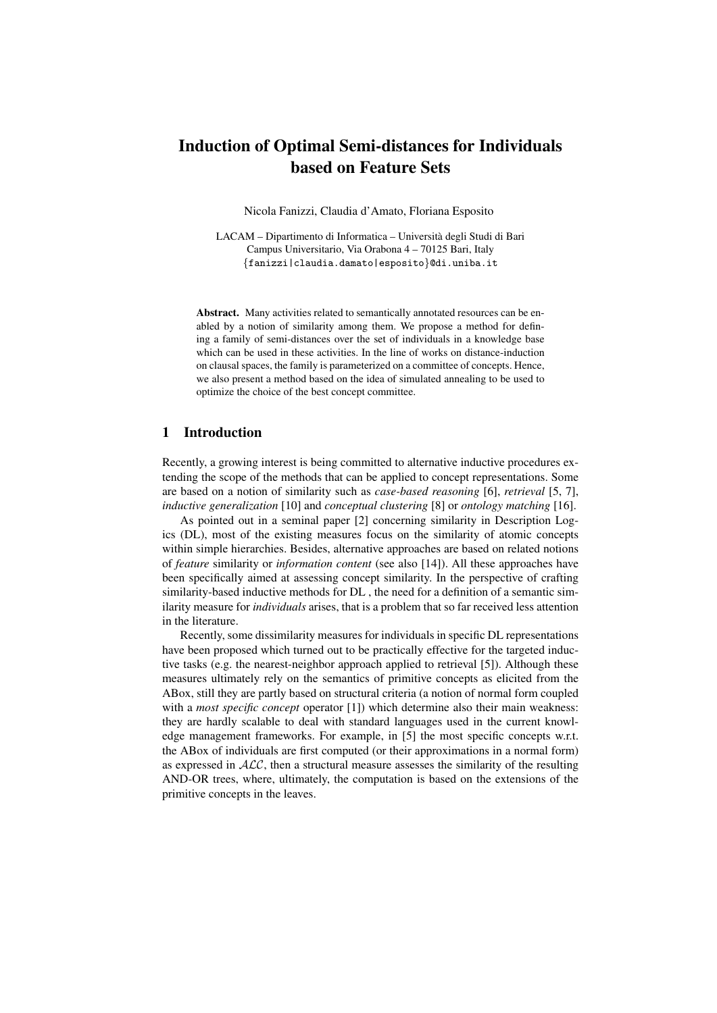# Induction of Optimal Semi-distances for Individuals based on Feature Sets

Nicola Fanizzi, Claudia d'Amato, Floriana Esposito

LACAM – Dipartimento di Informatica – Universita degli Studi di Bari ` Campus Universitario, Via Orabona 4 – 70125 Bari, Italy {fanizzi|claudia.damato|esposito}@di.uniba.it

Abstract. Many activities related to semantically annotated resources can be enabled by a notion of similarity among them. We propose a method for defining a family of semi-distances over the set of individuals in a knowledge base which can be used in these activities. In the line of works on distance-induction on clausal spaces, the family is parameterized on a committee of concepts. Hence, we also present a method based on the idea of simulated annealing to be used to optimize the choice of the best concept committee.

### 1 Introduction

Recently, a growing interest is being committed to alternative inductive procedures extending the scope of the methods that can be applied to concept representations. Some are based on a notion of similarity such as *case-based reasoning* [6], *retrieval* [5, 7], *inductive generalization* [10] and *conceptual clustering* [8] or *ontology matching* [16].

As pointed out in a seminal paper [2] concerning similarity in Description Logics (DL), most of the existing measures focus on the similarity of atomic concepts within simple hierarchies. Besides, alternative approaches are based on related notions of *feature* similarity or *information content* (see also [14]). All these approaches have been specifically aimed at assessing concept similarity. In the perspective of crafting similarity-based inductive methods for DL , the need for a definition of a semantic similarity measure for *individuals* arises, that is a problem that so far received less attention in the literature.

Recently, some dissimilarity measures for individuals in specific DL representations have been proposed which turned out to be practically effective for the targeted inductive tasks (e.g. the nearest-neighbor approach applied to retrieval [5]). Although these measures ultimately rely on the semantics of primitive concepts as elicited from the ABox, still they are partly based on structural criteria (a notion of normal form coupled with a *most specific concept* operator [1]) which determine also their main weakness: they are hardly scalable to deal with standard languages used in the current knowledge management frameworks. For example, in [5] the most specific concepts w.r.t. the ABox of individuals are first computed (or their approximations in a normal form) as expressed in  $ALC$ , then a structural measure assesses the similarity of the resulting AND-OR trees, where, ultimately, the computation is based on the extensions of the primitive concepts in the leaves.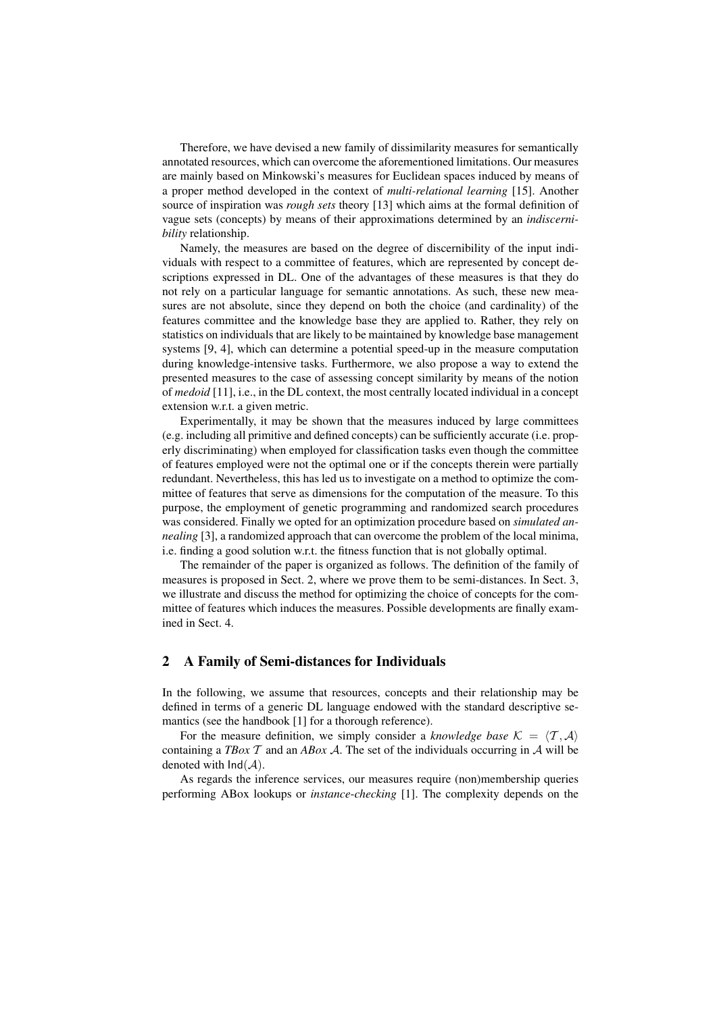Therefore, we have devised a new family of dissimilarity measures for semantically annotated resources, which can overcome the aforementioned limitations. Our measures are mainly based on Minkowski's measures for Euclidean spaces induced by means of a proper method developed in the context of *multi-relational learning* [15]. Another source of inspiration was *rough sets* theory [13] which aims at the formal definition of vague sets (concepts) by means of their approximations determined by an *indiscernibility* relationship.

Namely, the measures are based on the degree of discernibility of the input individuals with respect to a committee of features, which are represented by concept descriptions expressed in DL. One of the advantages of these measures is that they do not rely on a particular language for semantic annotations. As such, these new measures are not absolute, since they depend on both the choice (and cardinality) of the features committee and the knowledge base they are applied to. Rather, they rely on statistics on individuals that are likely to be maintained by knowledge base management systems [9, 4], which can determine a potential speed-up in the measure computation during knowledge-intensive tasks. Furthermore, we also propose a way to extend the presented measures to the case of assessing concept similarity by means of the notion of *medoid* [11], i.e., in the DL context, the most centrally located individual in a concept extension w.r.t. a given metric.

Experimentally, it may be shown that the measures induced by large committees (e.g. including all primitive and defined concepts) can be sufficiently accurate (i.e. properly discriminating) when employed for classification tasks even though the committee of features employed were not the optimal one or if the concepts therein were partially redundant. Nevertheless, this has led us to investigate on a method to optimize the committee of features that serve as dimensions for the computation of the measure. To this purpose, the employment of genetic programming and randomized search procedures was considered. Finally we opted for an optimization procedure based on *simulated annealing* [3], a randomized approach that can overcome the problem of the local minima, i.e. finding a good solution w.r.t. the fitness function that is not globally optimal.

The remainder of the paper is organized as follows. The definition of the family of measures is proposed in Sect. 2, where we prove them to be semi-distances. In Sect. 3, we illustrate and discuss the method for optimizing the choice of concepts for the committee of features which induces the measures. Possible developments are finally examined in Sect. 4.

### 2 A Family of Semi-distances for Individuals

In the following, we assume that resources, concepts and their relationship may be defined in terms of a generic DL language endowed with the standard descriptive semantics (see the handbook [1] for a thorough reference).

For the measure definition, we simply consider a *knowledge base*  $K = \langle T, A \rangle$ containing a *TBox*  $T$  and an *ABox A*. The set of the individuals occurring in  $A$  will be denoted with  $Ind(A)$ .

As regards the inference services, our measures require (non)membership queries performing ABox lookups or *instance*-*checking* [1]. The complexity depends on the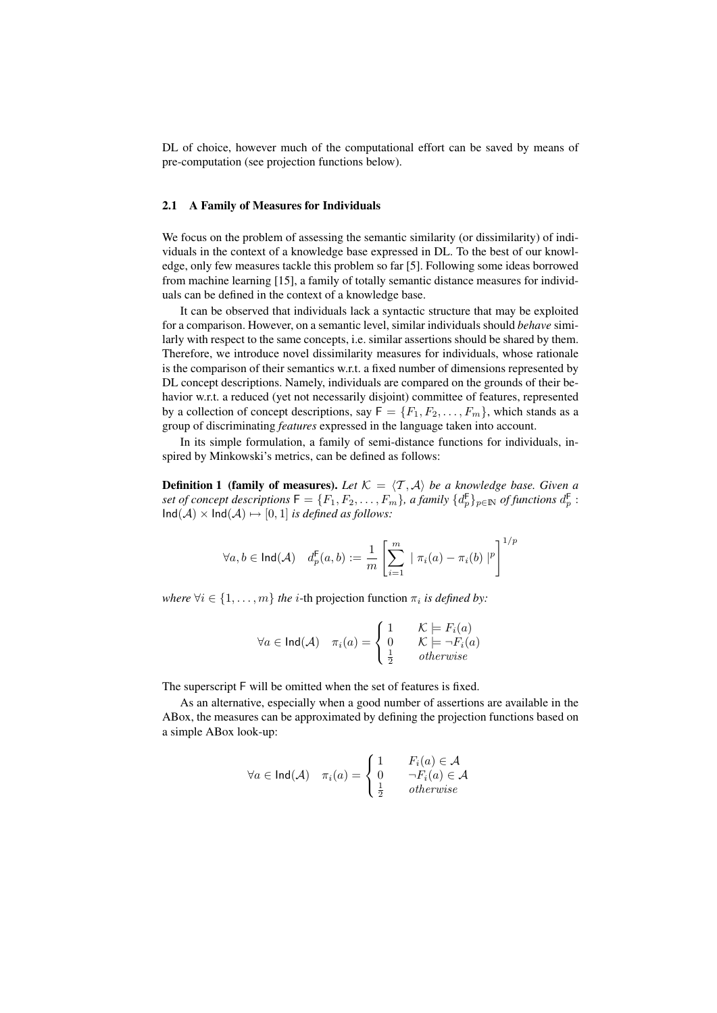DL of choice, however much of the computational effort can be saved by means of pre-computation (see projection functions below).

#### 2.1 A Family of Measures for Individuals

We focus on the problem of assessing the semantic similarity (or dissimilarity) of individuals in the context of a knowledge base expressed in DL. To the best of our knowledge, only few measures tackle this problem so far [5]. Following some ideas borrowed from machine learning [15], a family of totally semantic distance measures for individuals can be defined in the context of a knowledge base.

It can be observed that individuals lack a syntactic structure that may be exploited for a comparison. However, on a semantic level, similar individuals should *behave* similarly with respect to the same concepts, i.e. similar assertions should be shared by them. Therefore, we introduce novel dissimilarity measures for individuals, whose rationale is the comparison of their semantics w.r.t. a fixed number of dimensions represented by DL concept descriptions. Namely, individuals are compared on the grounds of their behavior w.r.t. a reduced (yet not necessarily disjoint) committee of features, represented by a collection of concept descriptions, say  $F = \{F_1, F_2, \ldots, F_m\}$ , which stands as a group of discriminating *features* expressed in the language taken into account.

In its simple formulation, a family of semi-distance functions for individuals, inspired by Minkowski's metrics, can be defined as follows:

**Definition 1 (family of measures).** Let  $K = \langle T, A \rangle$  be a knowledge base. Given a  $s$ et of concept descriptions  $\mathsf{F}=\{F_1,F_2,\ldots,F_m\}$ , a family  $\{d_p^{\mathsf{F}}\}_{p\in \mathbb N}$  of functions  $d_p^{\mathsf{F}}$  :  $\text{Ind}(\mathcal{A}) \times \text{Ind}(\mathcal{A}) \mapsto [0, 1]$  *is defined as follows:* 

$$
\forall a, b \in \mathsf{Ind}(\mathcal{A}) \quad d_p^{\mathsf{F}}(a, b) := \frac{1}{m} \left[ \sum_{i=1}^m \mid \pi_i(a) - \pi_i(b) \mid^p \right]^{1/p}
$$

*where*  $\forall i \in \{1, \ldots, m\}$  *the i*-th projection function  $\pi_i$  *is defined by:* 

$$
\forall a \in \text{Ind}(\mathcal{A}) \quad \pi_i(a) = \begin{cases} 1 & \mathcal{K} \models F_i(a) \\ 0 & \mathcal{K} \models \neg F_i(a) \\ \frac{1}{2} & otherwise \end{cases}
$$

The superscript F will be omitted when the set of features is fixed.

As an alternative, especially when a good number of assertions are available in the ABox, the measures can be approximated by defining the projection functions based on a simple ABox look-up:

$$
\forall a \in \mathsf{Ind}(\mathcal{A}) \quad \pi_i(a) = \begin{cases} 1 & F_i(a) \in \mathcal{A} \\ 0 & \neg F_i(a) \in \mathcal{A} \\ \frac{1}{2} & otherwise \end{cases}
$$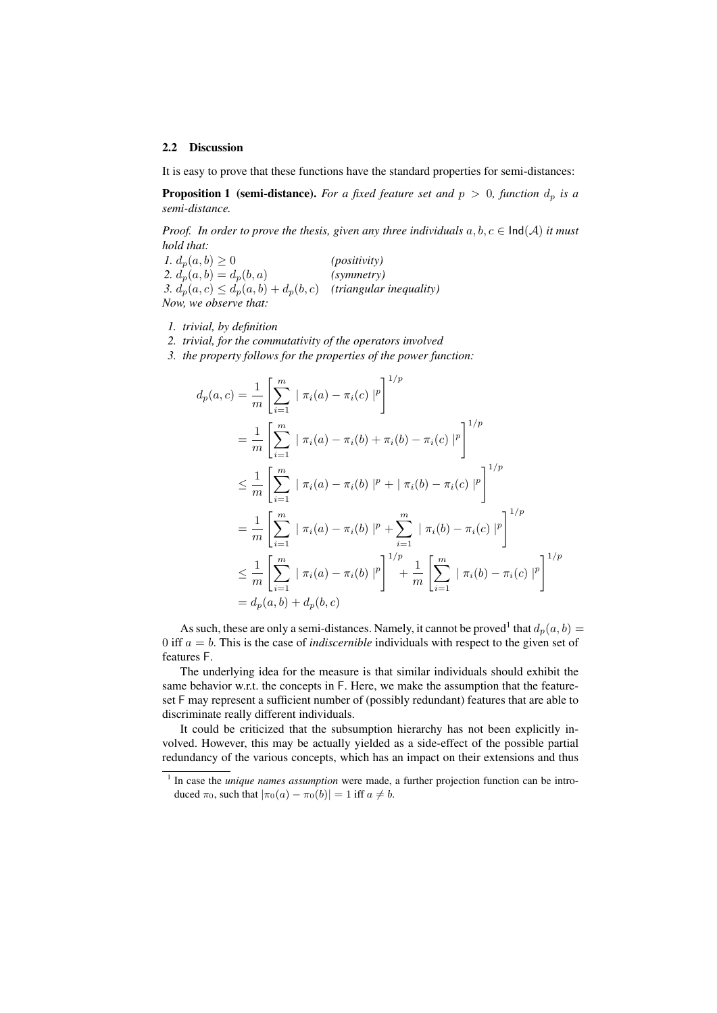#### 2.2 Discussion

It is easy to prove that these functions have the standard properties for semi-distances:

**Proposition 1** (semi-distance). For a fixed feature set and  $p > 0$ , function  $d_p$  is a *semi-distance.*

*Proof. In order to prove the thesis, given any three individuals*  $a, b, c \in \text{Ind}(A)$  *it must hold that:*

*1.*  $d_p(a, b) \ge 0$  *(positivity)* 2.  $d_p(a, b) = d_p(b, a)$  *(symmetry)* 3.  $d_p(a, c) \leq d_p(a, b) + d_p(b, c)$  *(triangular inequality) Now, we observe that:*

*1. trivial, by definition*

*2. trivial, for the commutativity of the operators involved*

*3. the property follows for the properties of the power function:*

$$
d_p(a, c) = \frac{1}{m} \left[ \sum_{i=1}^m \mid \pi_i(a) - \pi_i(c) \mid^p \right]^{1/p}
$$
  
\n
$$
= \frac{1}{m} \left[ \sum_{i=1}^m \mid \pi_i(a) - \pi_i(b) + \pi_i(b) - \pi_i(c) \mid^p \right]^{1/p}
$$
  
\n
$$
\leq \frac{1}{m} \left[ \sum_{i=1}^m \mid \pi_i(a) - \pi_i(b) \mid^p + \mid \pi_i(b) - \pi_i(c) \mid^p \right]^{1/p}
$$
  
\n
$$
= \frac{1}{m} \left[ \sum_{i=1}^m \mid \pi_i(a) - \pi_i(b) \mid^p + \sum_{i=1}^m \mid \pi_i(b) - \pi_i(c) \mid^p \right]^{1/p}
$$
  
\n
$$
\leq \frac{1}{m} \left[ \sum_{i=1}^m \mid \pi_i(a) - \pi_i(b) \mid^p \right]^{1/p} + \frac{1}{m} \left[ \sum_{i=1}^m \mid \pi_i(b) - \pi_i(c) \mid^p \right]^{1/p}
$$
  
\n
$$
= d_p(a, b) + d_p(b, c)
$$

As such, these are only a semi-distances. Namely, it cannot be proved<sup>1</sup> that  $d_p(a, b) =$ 0 iff  $a = b$ . This is the case of *indiscernible* individuals with respect to the given set of features F.

The underlying idea for the measure is that similar individuals should exhibit the same behavior w.r.t. the concepts in F. Here, we make the assumption that the featureset F may represent a sufficient number of (possibly redundant) features that are able to discriminate really different individuals.

It could be criticized that the subsumption hierarchy has not been explicitly involved. However, this may be actually yielded as a side-effect of the possible partial redundancy of the various concepts, which has an impact on their extensions and thus

<sup>&</sup>lt;sup>1</sup> In case the *unique names assumption* were made, a further projection function can be introduced  $\pi_0$ , such that  $|\pi_0(a) - \pi_0(b)| = 1$  iff  $a \neq b$ .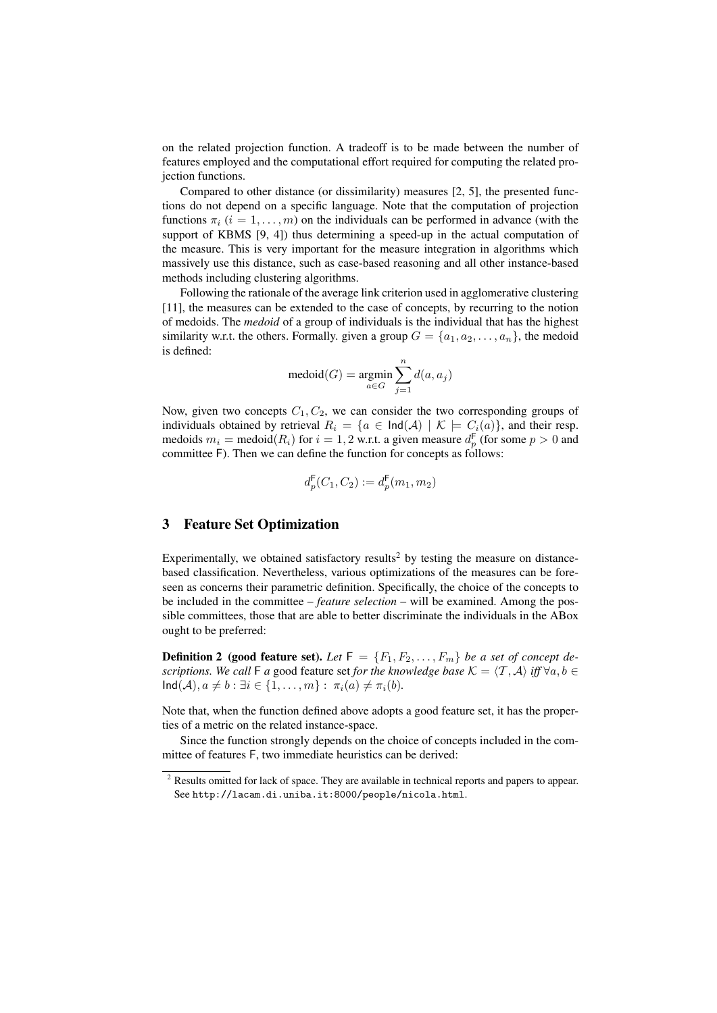on the related projection function. A tradeoff is to be made between the number of features employed and the computational effort required for computing the related projection functions.

Compared to other distance (or dissimilarity) measures [2, 5], the presented functions do not depend on a specific language. Note that the computation of projection functions  $\pi_i$  ( $i = 1, \ldots, m$ ) on the individuals can be performed in advance (with the support of KBMS [9, 4]) thus determining a speed-up in the actual computation of the measure. This is very important for the measure integration in algorithms which massively use this distance, such as case-based reasoning and all other instance-based methods including clustering algorithms.

Following the rationale of the average link criterion used in agglomerative clustering [11], the measures can be extended to the case of concepts, by recurring to the notion of medoids. The *medoid* of a group of individuals is the individual that has the highest similarity w.r.t. the others. Formally, given a group  $G = \{a_1, a_2, \ldots, a_n\}$ , the medoid is defined:

$$
\operatorname{medoid}(G) = \operatorname*{argmin}_{a \in G} \sum_{j=1}^n d(a,a_j)
$$

Now, given two concepts  $C_1, C_2$ , we can consider the two corresponding groups of individuals obtained by retrieval  $R_i = \{a \in \text{Ind}(\mathcal{A}) \mid \mathcal{K} \models C_i(a)\}\)$ , and their resp. medoids  $m_i = \text{medoid}(R_i)$  for  $i = 1, 2$  w.r.t. a given measure  $d_p^{\mathsf{F}}$  (for some  $p > 0$  and committee F). Then we can define the function for concepts as follows:

$$
d_p^{\mathsf{F}}(C_1, C_2) := d_p^{\mathsf{F}}(m_1, m_2)
$$

## 3 Feature Set Optimization

Experimentally, we obtained satisfactory results<sup>2</sup> by testing the measure on distancebased classification. Nevertheless, various optimizations of the measures can be foreseen as concerns their parametric definition. Specifically, the choice of the concepts to be included in the committee – *feature selection* – will be examined. Among the possible committees, those that are able to better discriminate the individuals in the ABox ought to be preferred:

**Definition 2** (good feature set). Let  $F = \{F_1, F_2, \ldots, F_m\}$  be a set of concept de*scriptions. We call* F *a* good feature set *for the knowledge base*  $K = \langle T, A \rangle$  *iff*  $\forall a, b \in$  $\textsf{Ind}(\mathcal{A}), a \neq b : \exists i \in \{1, \ldots, m\} : \pi_i(a) \neq \pi_i(b).$ 

Note that, when the function defined above adopts a good feature set, it has the properties of a metric on the related instance-space.

Since the function strongly depends on the choice of concepts included in the committee of features F, two immediate heuristics can be derived:

<sup>&</sup>lt;sup>2</sup> Results omitted for lack of space. They are available in technical reports and papers to appear. See http://lacam.di.uniba.it:8000/people/nicola.html.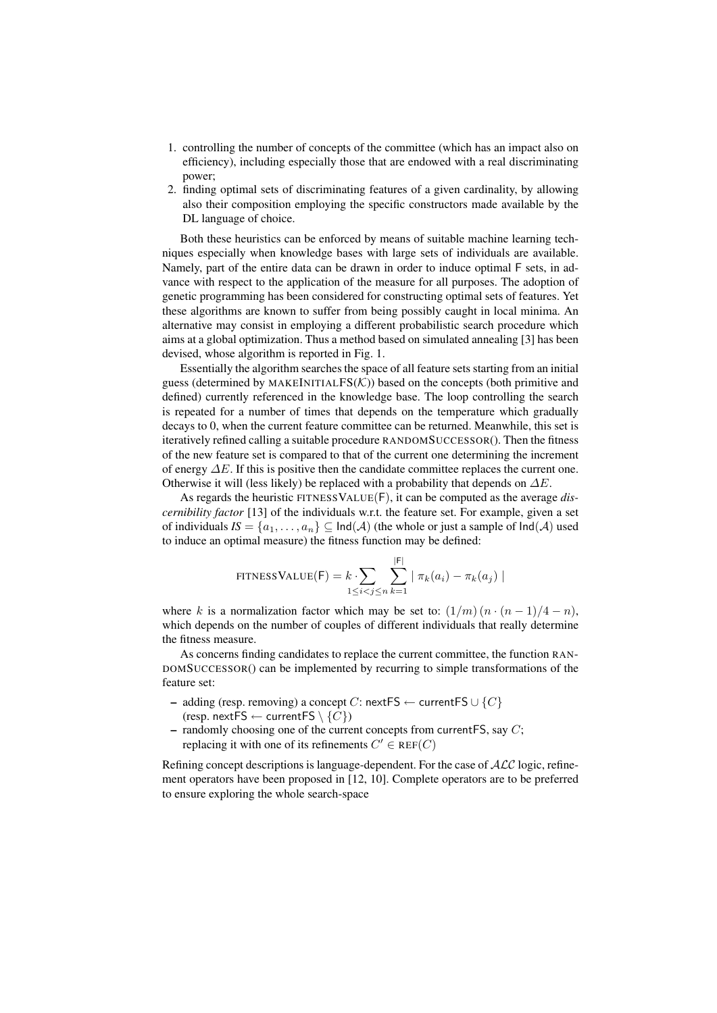- 1. controlling the number of concepts of the committee (which has an impact also on efficiency), including especially those that are endowed with a real discriminating power;
- 2. finding optimal sets of discriminating features of a given cardinality, by allowing also their composition employing the specific constructors made available by the DL language of choice.

Both these heuristics can be enforced by means of suitable machine learning techniques especially when knowledge bases with large sets of individuals are available. Namely, part of the entire data can be drawn in order to induce optimal F sets, in advance with respect to the application of the measure for all purposes. The adoption of genetic programming has been considered for constructing optimal sets of features. Yet these algorithms are known to suffer from being possibly caught in local minima. An alternative may consist in employing a different probabilistic search procedure which aims at a global optimization. Thus a method based on simulated annealing [3] has been devised, whose algorithm is reported in Fig. 1.

Essentially the algorithm searches the space of all feature sets starting from an initial guess (determined by MAKEINITIAL $FS(K)$ ) based on the concepts (both primitive and defined) currently referenced in the knowledge base. The loop controlling the search is repeated for a number of times that depends on the temperature which gradually decays to 0, when the current feature committee can be returned. Meanwhile, this set is iteratively refined calling a suitable procedure RANDOMSUCCESSOR(). Then the fitness of the new feature set is compared to that of the current one determining the increment of energy  $\Delta E$ . If this is positive then the candidate committee replaces the current one. Otherwise it will (less likely) be replaced with a probability that depends on  $\Delta E$ .

As regards the heuristic FITNESSVALUE(F), it can be computed as the average *discernibility factor* [13] of the individuals w.r.t. the feature set. For example, given a set of individuals  $I S = \{a_1, \ldots, a_n\} \subseteq \text{Ind}(A)$  (the whole or just a sample of  $\text{Ind}(A)$  used to induce an optimal measure) the fitness function may be defined:

$$
\text{FITNESSVALUE}(F) = k \cdot \sum_{1 \leq i < j \leq n} \sum_{k=1}^{|F|} |\pi_k(a_i) - \pi_k(a_j)|
$$

where k is a normalization factor which may be set to:  $(1/m)(n \cdot (n-1)/4 - n)$ , which depends on the number of couples of different individuals that really determine the fitness measure.

As concerns finding candidates to replace the current committee, the function RAN-DOMSUCCESSOR() can be implemented by recurring to simple transformations of the feature set:

- adding (resp. removing) a concept C: nextFS ← currentFS  $\cup \{C\}$ (resp. nextFS  $\leftarrow$  currentFS  $\setminus \{C\}$ )
- randomly choosing one of the current concepts from currentFS, say  $C$ ; replacing it with one of its refinements  $C' \in \text{REF}(C)$

Refining concept descriptions is language-dependent. For the case of  $\mathcal{ALC}$  logic, refinement operators have been proposed in [12, 10]. Complete operators are to be preferred to ensure exploring the whole search-space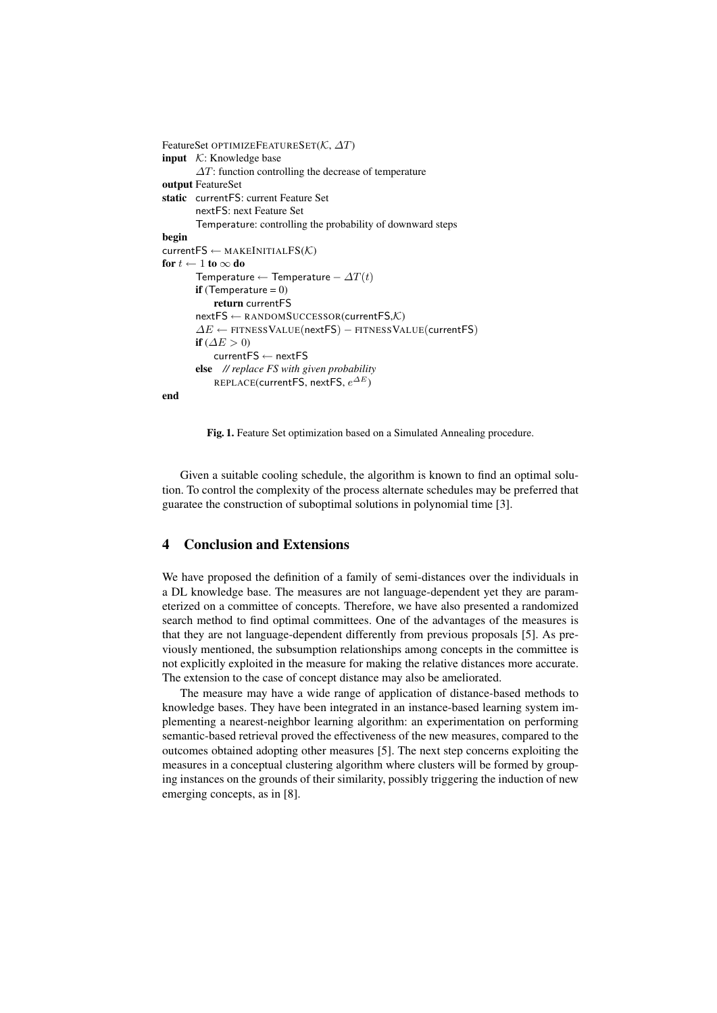```
FeatureSet OPTIMIZEFEATURESET(K, ∆T)
input K: Knowledge base
        \Delta T: function controlling the decrease of temperature
output FeatureSet
static currentFS: current Feature Set
        nextFS: next Feature Set
        Temperature: controlling the probability of downward steps
begin
currentFS \leftarrow MARKEINITIALFS(\mathcal{K})for t \leftarrow 1 to \infty do
        Temperature ← Temperature – \Delta T(t)if (Temperature = 0)
            return currentFS
        nextFS \leftarrow RANDOMSUCCESSOR(currentFS,K)
        \Delta E \leftarrow FITNESSVALUE(nextFS) – FITNESSVALUE(currentFS)
        if (\Delta E > 0)currentFS ← nextFS
        else // replace FS with given probability
            <code>REPLACE(currentFS, nextFS, e^{\Delta E})</code>
end
```
Fig. 1. Feature Set optimization based on a Simulated Annealing procedure.

Given a suitable cooling schedule, the algorithm is known to find an optimal solution. To control the complexity of the process alternate schedules may be preferred that guaratee the construction of suboptimal solutions in polynomial time [3].

### 4 Conclusion and Extensions

We have proposed the definition of a family of semi-distances over the individuals in a DL knowledge base. The measures are not language-dependent yet they are parameterized on a committee of concepts. Therefore, we have also presented a randomized search method to find optimal committees. One of the advantages of the measures is that they are not language-dependent differently from previous proposals [5]. As previously mentioned, the subsumption relationships among concepts in the committee is not explicitly exploited in the measure for making the relative distances more accurate. The extension to the case of concept distance may also be ameliorated.

The measure may have a wide range of application of distance-based methods to knowledge bases. They have been integrated in an instance-based learning system implementing a nearest-neighbor learning algorithm: an experimentation on performing semantic-based retrieval proved the effectiveness of the new measures, compared to the outcomes obtained adopting other measures [5]. The next step concerns exploiting the measures in a conceptual clustering algorithm where clusters will be formed by grouping instances on the grounds of their similarity, possibly triggering the induction of new emerging concepts, as in [8].